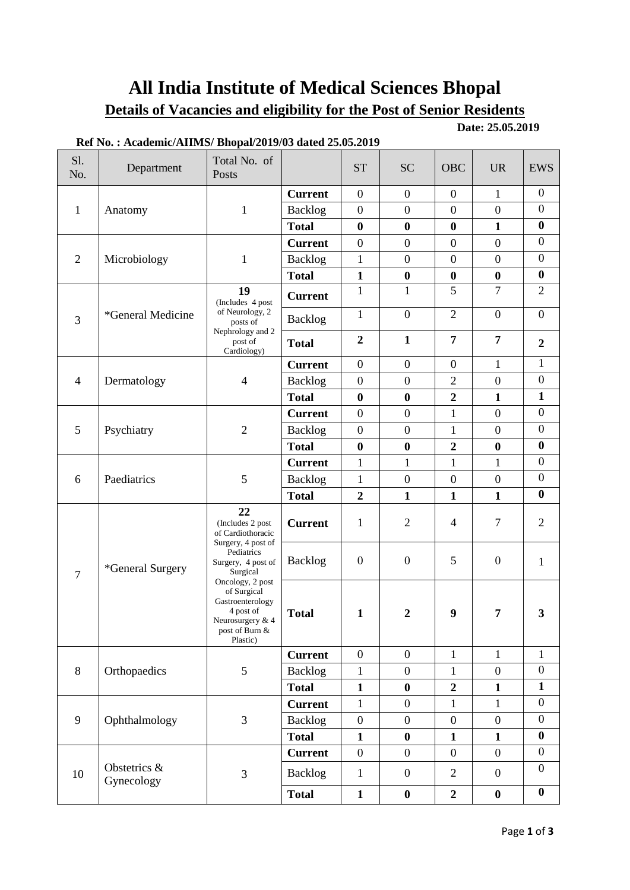# **All India Institute of Medical Sciences Bhopal**

# **Details of Vacancies and eligibility for the Post of Senior Residents**

**Ref No. : Academic/AIIMS/ Bhopal/2019/03 dated 25.05.2019**

**Date: 25.05.2019**

| S1.<br>No.     | Department                 | Total No. of<br>Posts                                                                                                                                                                                                                   |                | <b>ST</b>        | <b>SC</b>        | <b>OBC</b>       | <b>UR</b>        | <b>EWS</b>       |
|----------------|----------------------------|-----------------------------------------------------------------------------------------------------------------------------------------------------------------------------------------------------------------------------------------|----------------|------------------|------------------|------------------|------------------|------------------|
| $\mathbf{1}$   |                            |                                                                                                                                                                                                                                         | <b>Current</b> | $\mathbf{0}$     | $\boldsymbol{0}$ | $\mathbf{0}$     | $\mathbf{1}$     | $\mathbf{0}$     |
|                | Anatomy                    | $\mathbf{1}$                                                                                                                                                                                                                            | Backlog        | $\boldsymbol{0}$ | $\boldsymbol{0}$ | $\boldsymbol{0}$ | $\mathbf{0}$     | $\boldsymbol{0}$ |
|                |                            |                                                                                                                                                                                                                                         | <b>Total</b>   | $\bf{0}$         | $\boldsymbol{0}$ | $\bf{0}$         | $\mathbf{1}$     | $\bf{0}$         |
| $\overline{2}$ | Microbiology               | $\mathbf{1}$                                                                                                                                                                                                                            | <b>Current</b> | $\boldsymbol{0}$ | $\boldsymbol{0}$ | $\overline{0}$   | $\boldsymbol{0}$ | $\overline{0}$   |
|                |                            |                                                                                                                                                                                                                                         | <b>Backlog</b> | $\mathbf{1}$     | $\boldsymbol{0}$ | $\boldsymbol{0}$ | $\boldsymbol{0}$ | $\boldsymbol{0}$ |
|                |                            |                                                                                                                                                                                                                                         | <b>Total</b>   | $\mathbf{1}$     | $\boldsymbol{0}$ | $\bf{0}$         | $\bf{0}$         | $\bf{0}$         |
| 3              | *General Medicine          | 19<br>(Includes 4 post<br>of Neurology, 2<br>posts of<br>Nephrology and 2<br>post of<br>Cardiology)                                                                                                                                     | <b>Current</b> | $\mathbf{1}$     | $\mathbf{1}$     | 5                | $\overline{7}$   | $\overline{2}$   |
|                |                            |                                                                                                                                                                                                                                         | Backlog        | $\mathbf{1}$     | $\boldsymbol{0}$ | $\overline{2}$   | $\boldsymbol{0}$ | $\boldsymbol{0}$ |
|                |                            |                                                                                                                                                                                                                                         | <b>Total</b>   | $\overline{2}$   | $\mathbf{1}$     | $\overline{7}$   | $\overline{7}$   | $\overline{2}$   |
|                |                            |                                                                                                                                                                                                                                         | <b>Current</b> | $\boldsymbol{0}$ | $\boldsymbol{0}$ | $\boldsymbol{0}$ | $\mathbf{1}$     | $\mathbf{1}$     |
| $\overline{4}$ | Dermatology                | $\overline{4}$                                                                                                                                                                                                                          | <b>Backlog</b> | $\boldsymbol{0}$ | $\boldsymbol{0}$ | $\overline{2}$   | $\overline{0}$   | $\boldsymbol{0}$ |
|                |                            |                                                                                                                                                                                                                                         | <b>Total</b>   | $\bf{0}$         | $\boldsymbol{0}$ | $\overline{2}$   | $\mathbf{1}$     | $\mathbf{1}$     |
|                |                            |                                                                                                                                                                                                                                         | <b>Current</b> | $\overline{0}$   | $\boldsymbol{0}$ | $\mathbf{1}$     | $\overline{0}$   | $\boldsymbol{0}$ |
| 5              | Psychiatry                 | $\overline{2}$                                                                                                                                                                                                                          | <b>Backlog</b> | $\boldsymbol{0}$ | $\boldsymbol{0}$ | 1                | $\boldsymbol{0}$ | $\boldsymbol{0}$ |
|                |                            |                                                                                                                                                                                                                                         | <b>Total</b>   | $\bf{0}$         | $\bf{0}$         | $\overline{2}$   | $\bf{0}$         | $\bf{0}$         |
|                |                            |                                                                                                                                                                                                                                         | <b>Current</b> | $\mathbf{1}$     | $\mathbf{1}$     | $\mathbf{1}$     | $\mathbf{1}$     | $\boldsymbol{0}$ |
| 6              | Paediatrics                | 5                                                                                                                                                                                                                                       | <b>Backlog</b> | $\mathbf{1}$     | $\boldsymbol{0}$ | $\overline{0}$   | $\boldsymbol{0}$ | $\boldsymbol{0}$ |
|                |                            |                                                                                                                                                                                                                                         | <b>Total</b>   | $\overline{2}$   | $\mathbf{1}$     | $\mathbf{1}$     | $\mathbf{1}$     | $\bf{0}$         |
|                | *General Surgery           | 22<br>(Includes 2 post<br>of Cardiothoracic<br>Surgery, 4 post of<br>Pediatrics<br>Surgery, 4 post of<br>Surgical<br>Oncology, 2 post<br>of Surgical<br>Gastroenterology<br>4 post of<br>Neurosurgery & 4<br>post of Burn &<br>Plastic) | <b>Current</b> | 1                | $\overline{2}$   | $\overline{4}$   | $\tau$           | $\overline{2}$   |
| 7              |                            |                                                                                                                                                                                                                                         | Backlog        | $\boldsymbol{0}$ | $\boldsymbol{0}$ | 5                | $\mathbf{0}$     | 1                |
|                |                            |                                                                                                                                                                                                                                         | <b>Total</b>   | $\mathbf{1}$     | $\boldsymbol{2}$ | 9                | 7                | 3                |
| $8\,$          | Orthopaedics               | $\mathfrak{S}$                                                                                                                                                                                                                          | <b>Current</b> | $\overline{0}$   | $\overline{0}$   | $\mathbf{1}$     | $\mathbf{1}$     | $\mathbf{1}$     |
|                |                            |                                                                                                                                                                                                                                         | <b>Backlog</b> | $\mathbf{1}$     | $\boldsymbol{0}$ | $\mathbf{1}$     | $\boldsymbol{0}$ | $\boldsymbol{0}$ |
|                |                            |                                                                                                                                                                                                                                         | <b>Total</b>   | $\mathbf{1}$     | $\bf{0}$         | $\overline{2}$   | $\mathbf{1}$     | $\mathbf{1}$     |
| 9              | Ophthalmology              | 3                                                                                                                                                                                                                                       | <b>Current</b> | $\mathbf{1}$     | $\boldsymbol{0}$ | $\mathbf{1}$     | $\mathbf{1}$     | $\boldsymbol{0}$ |
|                |                            |                                                                                                                                                                                                                                         | <b>Backlog</b> | $\boldsymbol{0}$ | $\boldsymbol{0}$ | $\boldsymbol{0}$ | $\boldsymbol{0}$ | $\boldsymbol{0}$ |
|                |                            |                                                                                                                                                                                                                                         | <b>Total</b>   | $\mathbf{1}$     | $\boldsymbol{0}$ | $\mathbf{1}$     | $\mathbf{1}$     | $\boldsymbol{0}$ |
| 10             | Obstetrics &<br>Gynecology | $\mathfrak{Z}$                                                                                                                                                                                                                          | <b>Current</b> | $\boldsymbol{0}$ | $\boldsymbol{0}$ | $\boldsymbol{0}$ | $\boldsymbol{0}$ | $\boldsymbol{0}$ |
|                |                            |                                                                                                                                                                                                                                         | <b>Backlog</b> | $\mathbf{1}$     | $\boldsymbol{0}$ | $\overline{2}$   | $\boldsymbol{0}$ | $\boldsymbol{0}$ |
|                |                            |                                                                                                                                                                                                                                         | <b>Total</b>   | $\mathbf{1}$     | $\boldsymbol{0}$ | $\boldsymbol{2}$ | $\boldsymbol{0}$ | $\boldsymbol{0}$ |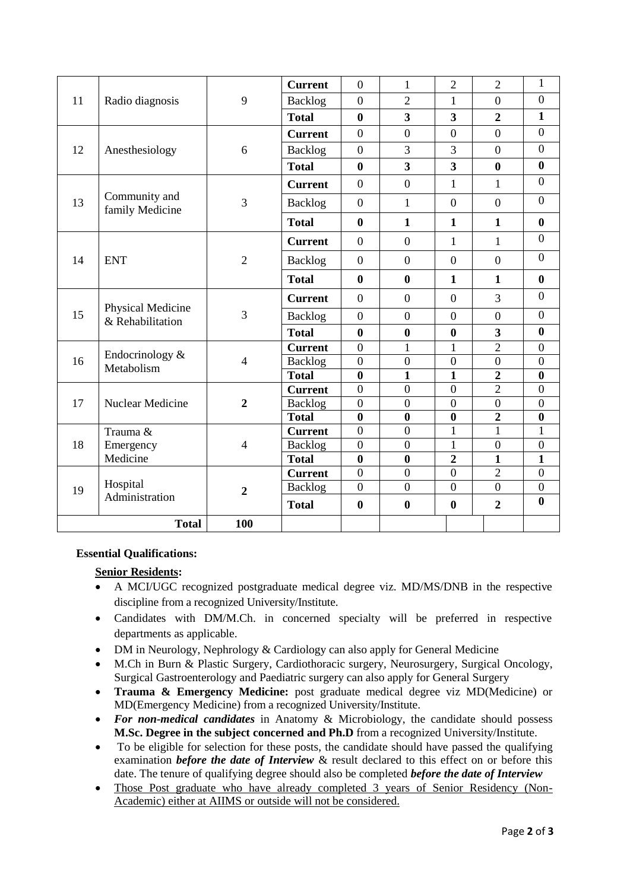| $\boldsymbol{0}$<br>9<br>$\overline{0}$<br>$\overline{2}$<br>$\overline{0}$<br>11<br>Radio diagnosis<br><b>Backlog</b><br>$\mathbf{1}$<br>$\mathbf{1}$<br>$\overline{\mathbf{3}}$<br>$\overline{\mathbf{3}}$<br>$\overline{2}$<br>$\bf{0}$<br><b>Total</b><br>$\boldsymbol{0}$<br>$\overline{0}$<br>$\overline{0}$<br>$\overline{0}$<br>$\overline{0}$<br><b>Current</b><br>$\boldsymbol{0}$<br>3<br>$\overline{0}$<br>3<br>$\overline{0}$<br>12<br>Anesthesiology<br>6<br><b>Backlog</b><br>$\bf{0}$<br>$\overline{\mathbf{3}}$<br>$\overline{\mathbf{3}}$<br><b>Total</b><br>$\bf{0}$<br>$\bf{0}$<br>$\overline{0}$<br>$\overline{0}$<br>$\overline{0}$<br>$\mathbf{1}$<br>$\mathbf{1}$<br><b>Current</b><br>Community and<br>$\overline{0}$<br>13<br>3<br>$\overline{0}$<br>$\mathbf{1}$<br>$\overline{0}$<br>$\overline{0}$<br>Backlog<br>family Medicine<br><b>Total</b><br>$\bf{0}$<br>$\mathbf{1}$<br>$\mathbf{1}$<br>$\bf{0}$<br>$\mathbf{1}$<br>$\overline{0}$<br>$\mathbf{1}$<br><b>Current</b><br>$\boldsymbol{0}$<br>$\overline{0}$<br>$\mathbf{1}$<br>$\overline{0}$<br>$\overline{0}$<br>14<br><b>ENT</b><br>$\overline{2}$<br>$\overline{0}$<br>$\overline{0}$<br>$\overline{0}$<br>Backlog<br><b>Total</b><br>$\bf{0}$<br>$\boldsymbol{0}$<br>$\bf{0}$<br>$\mathbf{1}$<br>$\mathbf{1}$<br>$\boldsymbol{0}$<br>3<br>$\boldsymbol{0}$<br><b>Current</b><br>$\boldsymbol{0}$<br>$\overline{0}$<br>Physical Medicine<br>3<br>15<br>$\overline{0}$<br>$\overline{0}$<br>$\overline{0}$<br><b>Backlog</b><br>$\overline{0}$<br>$\overline{0}$<br>& Rehabilitation<br>$\bf{0}$<br>$\bf{0}$<br>$\bf{0}$<br>$\bf{0}$<br>$\overline{\mathbf{3}}$<br><b>Total</b><br>$\overline{2}$<br>$\overline{0}$<br>$\mathbf{1}$<br>$\boldsymbol{0}$<br>$\mathbf{1}$<br><b>Current</b><br>Endocrinology &<br>$\overline{0}$<br>$\boldsymbol{0}$<br>$\overline{0}$<br>$\overline{0}$<br>$\overline{0}$<br>16<br>$\overline{4}$<br>Backlog<br>Metabolism<br>$\mathbf{1}$<br>$\overline{2}$<br>$\bf{0}$<br>$\mathbf{1}$<br>$\bf{0}$<br><b>Total</b><br>$\boldsymbol{0}$<br>$\overline{2}$<br>$\overline{0}$<br>$\boldsymbol{0}$<br>$\boldsymbol{0}$<br><b>Current</b><br>$\overline{0}$<br>17<br>Nuclear Medicine<br><b>Backlog</b><br>$\boldsymbol{0}$<br>$\boldsymbol{0}$<br>$\mathbf{0}$<br>$\boldsymbol{0}$<br>$\overline{2}$<br>$\bf{0}$<br>$\bf{0}$<br>$\boldsymbol{0}$<br>$\overline{2}$<br>$\bf{0}$<br><b>Total</b><br>$\overline{0}$<br>$\overline{0}$<br>$\overline{1}$<br>$\mathbf{1}$<br>$\mathbf{1}$<br>Trauma &<br><b>Current</b><br>18<br>$\overline{0}$<br>$\boldsymbol{0}$<br>Emergency<br>$\mathbf{1}$<br>$\boldsymbol{0}$<br>$\boldsymbol{0}$<br><b>Backlog</b><br>$\overline{4}$<br>$\mathbf{1}$<br>Medicine<br>$\bf{0}$<br>$\bf{0}$<br>$\overline{2}$<br>$\mathbf{1}$<br><b>Total</b><br>$\overline{0}$<br>$\overline{0}$<br>$\overline{0}$<br>$\overline{2}$<br>$\boldsymbol{0}$<br><b>Current</b><br>Hospital<br>$\overline{0}$<br>$\overline{0}$<br>$\overline{0}$<br><b>Backlog</b><br>$\boldsymbol{0}$<br>$\boldsymbol{0}$<br>19<br>$\overline{2}$<br>Administration<br>$\bf{0}$<br><b>Total</b><br>$\bf{0}$<br>$\bf{0}$<br>$\bf{0}$<br>$\overline{2}$ |  |              |     | <b>Current</b> | $\overline{0}$ | $\mathbf{1}$ | $\overline{2}$ | $\overline{2}$ | $\mathbf{1}$ |
|-------------------------------------------------------------------------------------------------------------------------------------------------------------------------------------------------------------------------------------------------------------------------------------------------------------------------------------------------------------------------------------------------------------------------------------------------------------------------------------------------------------------------------------------------------------------------------------------------------------------------------------------------------------------------------------------------------------------------------------------------------------------------------------------------------------------------------------------------------------------------------------------------------------------------------------------------------------------------------------------------------------------------------------------------------------------------------------------------------------------------------------------------------------------------------------------------------------------------------------------------------------------------------------------------------------------------------------------------------------------------------------------------------------------------------------------------------------------------------------------------------------------------------------------------------------------------------------------------------------------------------------------------------------------------------------------------------------------------------------------------------------------------------------------------------------------------------------------------------------------------------------------------------------------------------------------------------------------------------------------------------------------------------------------------------------------------------------------------------------------------------------------------------------------------------------------------------------------------------------------------------------------------------------------------------------------------------------------------------------------------------------------------------------------------------------------------------------------------------------------------------------------------------------------------------------------------------------------------------------------------------------------------------------------------------------------------------------------------------------------------------------------------------------------------------------------------------------------------------------------------------------------------------------------------------------------------------------------------------------------------------------------------------------------------------------------------------------------------------------------------------------------------------------------------|--|--------------|-----|----------------|----------------|--------------|----------------|----------------|--------------|
|                                                                                                                                                                                                                                                                                                                                                                                                                                                                                                                                                                                                                                                                                                                                                                                                                                                                                                                                                                                                                                                                                                                                                                                                                                                                                                                                                                                                                                                                                                                                                                                                                                                                                                                                                                                                                                                                                                                                                                                                                                                                                                                                                                                                                                                                                                                                                                                                                                                                                                                                                                                                                                                                                                                                                                                                                                                                                                                                                                                                                                                                                                                                                                         |  |              |     |                |                |              |                |                |              |
|                                                                                                                                                                                                                                                                                                                                                                                                                                                                                                                                                                                                                                                                                                                                                                                                                                                                                                                                                                                                                                                                                                                                                                                                                                                                                                                                                                                                                                                                                                                                                                                                                                                                                                                                                                                                                                                                                                                                                                                                                                                                                                                                                                                                                                                                                                                                                                                                                                                                                                                                                                                                                                                                                                                                                                                                                                                                                                                                                                                                                                                                                                                                                                         |  |              |     |                |                |              |                |                |              |
|                                                                                                                                                                                                                                                                                                                                                                                                                                                                                                                                                                                                                                                                                                                                                                                                                                                                                                                                                                                                                                                                                                                                                                                                                                                                                                                                                                                                                                                                                                                                                                                                                                                                                                                                                                                                                                                                                                                                                                                                                                                                                                                                                                                                                                                                                                                                                                                                                                                                                                                                                                                                                                                                                                                                                                                                                                                                                                                                                                                                                                                                                                                                                                         |  |              |     |                |                |              |                |                |              |
|                                                                                                                                                                                                                                                                                                                                                                                                                                                                                                                                                                                                                                                                                                                                                                                                                                                                                                                                                                                                                                                                                                                                                                                                                                                                                                                                                                                                                                                                                                                                                                                                                                                                                                                                                                                                                                                                                                                                                                                                                                                                                                                                                                                                                                                                                                                                                                                                                                                                                                                                                                                                                                                                                                                                                                                                                                                                                                                                                                                                                                                                                                                                                                         |  |              |     |                |                |              |                |                |              |
|                                                                                                                                                                                                                                                                                                                                                                                                                                                                                                                                                                                                                                                                                                                                                                                                                                                                                                                                                                                                                                                                                                                                                                                                                                                                                                                                                                                                                                                                                                                                                                                                                                                                                                                                                                                                                                                                                                                                                                                                                                                                                                                                                                                                                                                                                                                                                                                                                                                                                                                                                                                                                                                                                                                                                                                                                                                                                                                                                                                                                                                                                                                                                                         |  |              |     |                |                |              |                |                |              |
|                                                                                                                                                                                                                                                                                                                                                                                                                                                                                                                                                                                                                                                                                                                                                                                                                                                                                                                                                                                                                                                                                                                                                                                                                                                                                                                                                                                                                                                                                                                                                                                                                                                                                                                                                                                                                                                                                                                                                                                                                                                                                                                                                                                                                                                                                                                                                                                                                                                                                                                                                                                                                                                                                                                                                                                                                                                                                                                                                                                                                                                                                                                                                                         |  |              |     |                |                |              |                |                |              |
|                                                                                                                                                                                                                                                                                                                                                                                                                                                                                                                                                                                                                                                                                                                                                                                                                                                                                                                                                                                                                                                                                                                                                                                                                                                                                                                                                                                                                                                                                                                                                                                                                                                                                                                                                                                                                                                                                                                                                                                                                                                                                                                                                                                                                                                                                                                                                                                                                                                                                                                                                                                                                                                                                                                                                                                                                                                                                                                                                                                                                                                                                                                                                                         |  |              |     |                |                |              |                |                |              |
|                                                                                                                                                                                                                                                                                                                                                                                                                                                                                                                                                                                                                                                                                                                                                                                                                                                                                                                                                                                                                                                                                                                                                                                                                                                                                                                                                                                                                                                                                                                                                                                                                                                                                                                                                                                                                                                                                                                                                                                                                                                                                                                                                                                                                                                                                                                                                                                                                                                                                                                                                                                                                                                                                                                                                                                                                                                                                                                                                                                                                                                                                                                                                                         |  |              |     |                |                |              |                |                |              |
|                                                                                                                                                                                                                                                                                                                                                                                                                                                                                                                                                                                                                                                                                                                                                                                                                                                                                                                                                                                                                                                                                                                                                                                                                                                                                                                                                                                                                                                                                                                                                                                                                                                                                                                                                                                                                                                                                                                                                                                                                                                                                                                                                                                                                                                                                                                                                                                                                                                                                                                                                                                                                                                                                                                                                                                                                                                                                                                                                                                                                                                                                                                                                                         |  |              |     |                |                |              |                |                |              |
|                                                                                                                                                                                                                                                                                                                                                                                                                                                                                                                                                                                                                                                                                                                                                                                                                                                                                                                                                                                                                                                                                                                                                                                                                                                                                                                                                                                                                                                                                                                                                                                                                                                                                                                                                                                                                                                                                                                                                                                                                                                                                                                                                                                                                                                                                                                                                                                                                                                                                                                                                                                                                                                                                                                                                                                                                                                                                                                                                                                                                                                                                                                                                                         |  |              |     |                |                |              |                |                |              |
|                                                                                                                                                                                                                                                                                                                                                                                                                                                                                                                                                                                                                                                                                                                                                                                                                                                                                                                                                                                                                                                                                                                                                                                                                                                                                                                                                                                                                                                                                                                                                                                                                                                                                                                                                                                                                                                                                                                                                                                                                                                                                                                                                                                                                                                                                                                                                                                                                                                                                                                                                                                                                                                                                                                                                                                                                                                                                                                                                                                                                                                                                                                                                                         |  |              |     |                |                |              |                |                |              |
|                                                                                                                                                                                                                                                                                                                                                                                                                                                                                                                                                                                                                                                                                                                                                                                                                                                                                                                                                                                                                                                                                                                                                                                                                                                                                                                                                                                                                                                                                                                                                                                                                                                                                                                                                                                                                                                                                                                                                                                                                                                                                                                                                                                                                                                                                                                                                                                                                                                                                                                                                                                                                                                                                                                                                                                                                                                                                                                                                                                                                                                                                                                                                                         |  |              |     |                |                |              |                |                |              |
|                                                                                                                                                                                                                                                                                                                                                                                                                                                                                                                                                                                                                                                                                                                                                                                                                                                                                                                                                                                                                                                                                                                                                                                                                                                                                                                                                                                                                                                                                                                                                                                                                                                                                                                                                                                                                                                                                                                                                                                                                                                                                                                                                                                                                                                                                                                                                                                                                                                                                                                                                                                                                                                                                                                                                                                                                                                                                                                                                                                                                                                                                                                                                                         |  |              |     |                |                |              |                |                |              |
|                                                                                                                                                                                                                                                                                                                                                                                                                                                                                                                                                                                                                                                                                                                                                                                                                                                                                                                                                                                                                                                                                                                                                                                                                                                                                                                                                                                                                                                                                                                                                                                                                                                                                                                                                                                                                                                                                                                                                                                                                                                                                                                                                                                                                                                                                                                                                                                                                                                                                                                                                                                                                                                                                                                                                                                                                                                                                                                                                                                                                                                                                                                                                                         |  |              |     |                |                |              |                |                |              |
|                                                                                                                                                                                                                                                                                                                                                                                                                                                                                                                                                                                                                                                                                                                                                                                                                                                                                                                                                                                                                                                                                                                                                                                                                                                                                                                                                                                                                                                                                                                                                                                                                                                                                                                                                                                                                                                                                                                                                                                                                                                                                                                                                                                                                                                                                                                                                                                                                                                                                                                                                                                                                                                                                                                                                                                                                                                                                                                                                                                                                                                                                                                                                                         |  |              |     |                |                |              |                |                |              |
|                                                                                                                                                                                                                                                                                                                                                                                                                                                                                                                                                                                                                                                                                                                                                                                                                                                                                                                                                                                                                                                                                                                                                                                                                                                                                                                                                                                                                                                                                                                                                                                                                                                                                                                                                                                                                                                                                                                                                                                                                                                                                                                                                                                                                                                                                                                                                                                                                                                                                                                                                                                                                                                                                                                                                                                                                                                                                                                                                                                                                                                                                                                                                                         |  |              |     |                |                |              |                |                |              |
|                                                                                                                                                                                                                                                                                                                                                                                                                                                                                                                                                                                                                                                                                                                                                                                                                                                                                                                                                                                                                                                                                                                                                                                                                                                                                                                                                                                                                                                                                                                                                                                                                                                                                                                                                                                                                                                                                                                                                                                                                                                                                                                                                                                                                                                                                                                                                                                                                                                                                                                                                                                                                                                                                                                                                                                                                                                                                                                                                                                                                                                                                                                                                                         |  |              |     |                |                |              |                |                |              |
|                                                                                                                                                                                                                                                                                                                                                                                                                                                                                                                                                                                                                                                                                                                                                                                                                                                                                                                                                                                                                                                                                                                                                                                                                                                                                                                                                                                                                                                                                                                                                                                                                                                                                                                                                                                                                                                                                                                                                                                                                                                                                                                                                                                                                                                                                                                                                                                                                                                                                                                                                                                                                                                                                                                                                                                                                                                                                                                                                                                                                                                                                                                                                                         |  |              |     |                |                |              |                |                |              |
|                                                                                                                                                                                                                                                                                                                                                                                                                                                                                                                                                                                                                                                                                                                                                                                                                                                                                                                                                                                                                                                                                                                                                                                                                                                                                                                                                                                                                                                                                                                                                                                                                                                                                                                                                                                                                                                                                                                                                                                                                                                                                                                                                                                                                                                                                                                                                                                                                                                                                                                                                                                                                                                                                                                                                                                                                                                                                                                                                                                                                                                                                                                                                                         |  |              |     |                |                |              |                |                |              |
|                                                                                                                                                                                                                                                                                                                                                                                                                                                                                                                                                                                                                                                                                                                                                                                                                                                                                                                                                                                                                                                                                                                                                                                                                                                                                                                                                                                                                                                                                                                                                                                                                                                                                                                                                                                                                                                                                                                                                                                                                                                                                                                                                                                                                                                                                                                                                                                                                                                                                                                                                                                                                                                                                                                                                                                                                                                                                                                                                                                                                                                                                                                                                                         |  |              |     |                |                |              |                |                |              |
|                                                                                                                                                                                                                                                                                                                                                                                                                                                                                                                                                                                                                                                                                                                                                                                                                                                                                                                                                                                                                                                                                                                                                                                                                                                                                                                                                                                                                                                                                                                                                                                                                                                                                                                                                                                                                                                                                                                                                                                                                                                                                                                                                                                                                                                                                                                                                                                                                                                                                                                                                                                                                                                                                                                                                                                                                                                                                                                                                                                                                                                                                                                                                                         |  |              |     |                |                |              |                |                |              |
|                                                                                                                                                                                                                                                                                                                                                                                                                                                                                                                                                                                                                                                                                                                                                                                                                                                                                                                                                                                                                                                                                                                                                                                                                                                                                                                                                                                                                                                                                                                                                                                                                                                                                                                                                                                                                                                                                                                                                                                                                                                                                                                                                                                                                                                                                                                                                                                                                                                                                                                                                                                                                                                                                                                                                                                                                                                                                                                                                                                                                                                                                                                                                                         |  |              |     |                |                |              |                |                |              |
|                                                                                                                                                                                                                                                                                                                                                                                                                                                                                                                                                                                                                                                                                                                                                                                                                                                                                                                                                                                                                                                                                                                                                                                                                                                                                                                                                                                                                                                                                                                                                                                                                                                                                                                                                                                                                                                                                                                                                                                                                                                                                                                                                                                                                                                                                                                                                                                                                                                                                                                                                                                                                                                                                                                                                                                                                                                                                                                                                                                                                                                                                                                                                                         |  |              |     |                |                |              |                |                |              |
|                                                                                                                                                                                                                                                                                                                                                                                                                                                                                                                                                                                                                                                                                                                                                                                                                                                                                                                                                                                                                                                                                                                                                                                                                                                                                                                                                                                                                                                                                                                                                                                                                                                                                                                                                                                                                                                                                                                                                                                                                                                                                                                                                                                                                                                                                                                                                                                                                                                                                                                                                                                                                                                                                                                                                                                                                                                                                                                                                                                                                                                                                                                                                                         |  |              |     |                |                |              |                |                |              |
|                                                                                                                                                                                                                                                                                                                                                                                                                                                                                                                                                                                                                                                                                                                                                                                                                                                                                                                                                                                                                                                                                                                                                                                                                                                                                                                                                                                                                                                                                                                                                                                                                                                                                                                                                                                                                                                                                                                                                                                                                                                                                                                                                                                                                                                                                                                                                                                                                                                                                                                                                                                                                                                                                                                                                                                                                                                                                                                                                                                                                                                                                                                                                                         |  |              |     |                |                |              |                |                |              |
|                                                                                                                                                                                                                                                                                                                                                                                                                                                                                                                                                                                                                                                                                                                                                                                                                                                                                                                                                                                                                                                                                                                                                                                                                                                                                                                                                                                                                                                                                                                                                                                                                                                                                                                                                                                                                                                                                                                                                                                                                                                                                                                                                                                                                                                                                                                                                                                                                                                                                                                                                                                                                                                                                                                                                                                                                                                                                                                                                                                                                                                                                                                                                                         |  |              |     |                |                |              |                |                |              |
|                                                                                                                                                                                                                                                                                                                                                                                                                                                                                                                                                                                                                                                                                                                                                                                                                                                                                                                                                                                                                                                                                                                                                                                                                                                                                                                                                                                                                                                                                                                                                                                                                                                                                                                                                                                                                                                                                                                                                                                                                                                                                                                                                                                                                                                                                                                                                                                                                                                                                                                                                                                                                                                                                                                                                                                                                                                                                                                                                                                                                                                                                                                                                                         |  | <b>Total</b> | 100 |                |                |              |                |                |              |

#### **Essential Qualifications:**

### **Senior Residents:**

- A MCI/UGC recognized postgraduate medical degree viz. MD/MS/DNB in the respective discipline from a recognized University/Institute.
- Candidates with DM/M.Ch. in concerned specialty will be preferred in respective departments as applicable.
- DM in Neurology, Nephrology & Cardiology can also apply for General Medicine
- M.Ch in Burn & Plastic Surgery, Cardiothoracic surgery, Neurosurgery, Surgical Oncology, Surgical Gastroenterology and Paediatric surgery can also apply for General Surgery
- **Trauma & Emergency Medicine:** post graduate medical degree viz MD(Medicine) or MD(Emergency Medicine) from a recognized University/Institute.
- *For non-medical candidates* in Anatomy & Microbiology, the candidate should possess **M.Sc. Degree in the subject concerned and Ph.D** from a recognized University/Institute.
- To be eligible for selection for these posts, the candidate should have passed the qualifying examination *before the date of Interview* & result declared to this effect on or before this date. The tenure of qualifying degree should also be completed *before the date of Interview*
- Those Post graduate who have already completed 3 years of Senior Residency (Non-Academic) either at AIIMS or outside will not be considered.